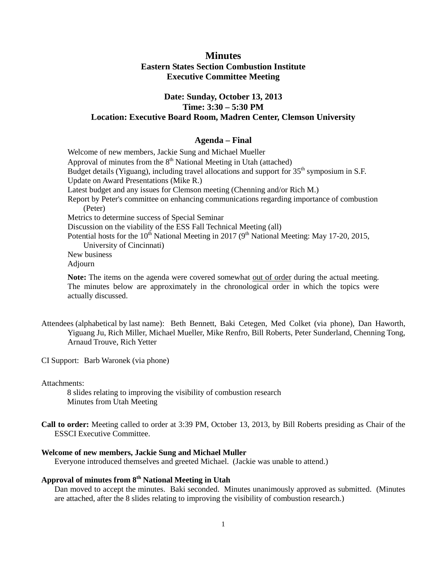## **Minutes Eastern States Section Combustion Institute Executive Committee Meeting**

## **Date: Sunday, October 13, 2013 Time: 3:30 – 5:30 PM Location: Executive Board Room, Madren Center, Clemson University**

## **Agenda – Final**

Welcome of new members, Jackie Sung and Michael Mueller Approval of minutes from the  $8<sup>th</sup>$  National Meeting in Utah (attached) Budget details (Yiguang), including travel allocations and support for 35<sup>th</sup> symposium in S.F. Update on Award Presentations (Mike R.) Latest budget and any issues for Clemson meeting (Chenning and/or Rich M.) Report by Peter's committee on enhancing communications regarding importance of combustion (Peter) Metrics to determine success of Special Seminar Discussion on the viability of the ESS Fall Technical Meeting (all) Potential hosts for the 10<sup>th</sup> National Meeting in 2017 (9<sup>th</sup> National Meeting: May 17-20, 2015, University of Cincinnati) New business Adjourn

**Note:** The items on the agenda were covered somewhat out of order during the actual meeting. The minutes below are approximately in the chronological order in which the topics were actually discussed.

Attendees (alphabetical by last name): Beth Bennett, Baki Cetegen, Med Colket (via phone), Dan Haworth, Yiguang Ju, Rich Miller, Michael Mueller, Mike Renfro, Bill Roberts, Peter Sunderland, Chenning Tong, Arnaud Trouve, Rich Yetter

CI Support: Barb Waronek (via phone)

Attachments:

8 slides relating to improving the visibility of combustion research Minutes from Utah Meeting

**Call to order:** Meeting called to order at 3:39 PM, October 13, 2013, by Bill Roberts presiding as Chair of the ESSCI Executive Committee.

## **Welcome of new members, Jackie Sung and Michael Muller**

Everyone introduced themselves and greeted Michael. (Jackie was unable to attend.)

## **Approval of minutes from 8th National Meeting in Utah**

Dan moved to accept the minutes. Baki seconded. Minutes unanimously approved as submitted. (Minutes are attached, after the 8 slides relating to improving the visibility of combustion research.)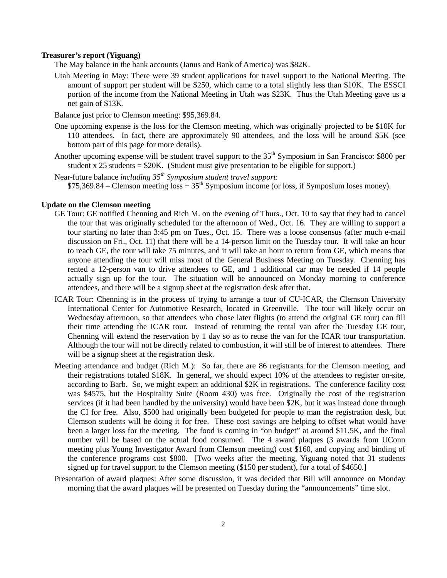#### **Treasurer's report (Yiguang)**

The May balance in the bank accounts (Janus and Bank of America) was \$82K.

Utah Meeting in May: There were 39 student applications for travel support to the National Meeting. The amount of support per student will be \$250, which came to a total slightly less than \$10K. The ESSCI portion of the income from the National Meeting in Utah was \$23K. Thus the Utah Meeting gave us a net gain of \$13K.

Balance just prior to Clemson meeting: \$95,369.84.

- One upcoming expense is the loss for the Clemson meeting, which was originally projected to be \$10K for 110 attendees. In fact, there are approximately 90 attendees, and the loss will be around \$5K (see bottom part of this page for more details).
- Another upcoming expense will be student travel support to the 35<sup>th</sup> Symposium in San Francisco: \$800 per student x  $25$  students =  $$20K$ . (Student must give presentation to be eligible for support.)
- Near-future balance *including 35th Symposium student travel support*:  $$75,369.84$  – Clemson meeting  $loss + 35<sup>th</sup>$  Symposium income (or loss, if Symposium loses money).

## **Update on the Clemson meeting**

- GE Tour: GE notified Chenning and Rich M. on the evening of Thurs., Oct. 10 to say that they had to cancel the tour that was originally scheduled for the afternoon of Wed., Oct. 16. They are willing to support a tour starting no later than 3:45 pm on Tues., Oct. 15. There was a loose consensus (after much e-mail discussion on Fri., Oct. 11) that there will be a 14-person limit on the Tuesday tour. It will take an hour to reach GE, the tour will take 75 minutes, and it will take an hour to return from GE, which means that anyone attending the tour will miss most of the General Business Meeting on Tuesday. Chenning has rented a 12-person van to drive attendees to GE, and 1 additional car may be needed if 14 people actually sign up for the tour. The situation will be announced on Monday morning to conference attendees, and there will be a signup sheet at the registration desk after that.
- ICAR Tour: Chenning is in the process of trying to arrange a tour of CU-ICAR, the Clemson University International Center for Automotive Research, located in Greenville. The tour will likely occur on Wednesday afternoon, so that attendees who chose later flights (to attend the original GE tour) can fill their time attending the ICAR tour. Instead of returning the rental van after the Tuesday GE tour, Chenning will extend the reservation by 1 day so as to reuse the van for the ICAR tour transportation. Although the tour will not be directly related to combustion, it will still be of interest to attendees. There will be a signup sheet at the registration desk.
- Meeting attendance and budget (Rich M.): So far, there are 86 registrants for the Clemson meeting, and their registrations totaled \$18K. In general, we should expect 10% of the attendees to register on-site, according to Barb. So, we might expect an additional \$2K in registrations. The conference facility cost was \$4575, but the Hospitality Suite (Room 430) was free. Originally the cost of the registration services (if it had been handled by the university) would have been \$2K, but it was instead done through the CI for free. Also, \$500 had originally been budgeted for people to man the registration desk, but Clemson students will be doing it for free. These cost savings are helping to offset what would have been a larger loss for the meeting. The food is coming in "on budget" at around \$11.5K, and the final number will be based on the actual food consumed. The 4 award plaques (3 awards from UConn meeting plus Young Investigator Award from Clemson meeting) cost \$160, and copying and binding of the conference programs cost \$800. [Two weeks after the meeting, Yiguang noted that 31 students signed up for travel support to the Clemson meeting (\$150 per student), for a total of \$4650.]
- Presentation of award plaques: After some discussion, it was decided that Bill will announce on Monday morning that the award plaques will be presented on Tuesday during the "announcements" time slot.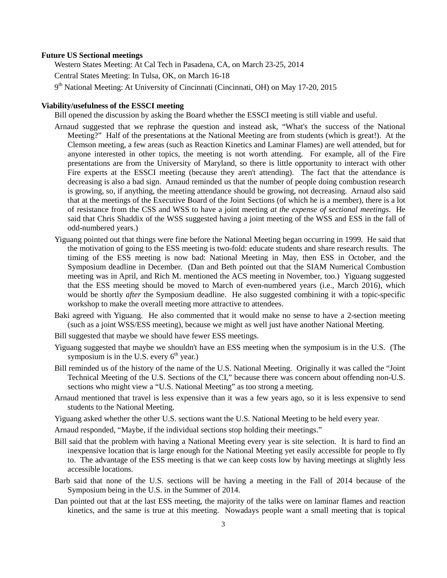## **Future US Sectional meetings**

Western States Meeting: At Cal Tech in Pasadena, CA, on March 23-25, 2014 Central States Meeting: In Tulsa, OK, on March 16-18  $9<sup>th</sup>$  National Meeting: At University of Cincinnati (Cincinnati, OH) on May 17-20, 2015

## **Viability/usefulness of the ESSCI meeting**

Bill opened the discussion by asking the Board whether the ESSCI meeting is still viable and useful.

- Arnaud suggested that we rephrase the question and instead ask, "What's the success of the National Meeting?" Half of the presentations at the National Meeting are from students (which is great!). At the Clemson meeting, a few areas (such as Reaction Kinetics and Laminar Flames) are well attended, but for anyone interested in other topics, the meeting is not worth attending. For example, all of the Fire presentations are from the University of Maryland, so there is little opportunity to interact with other Fire experts at the ESSCI meeting (because they aren't attending). The fact that the attendance is decreasing is also a bad sign. Arnaud reminded us that the number of people doing combustion research is growing, so, if anything, the meeting attendance should be growing, not decreasing. Arnaud also said that at the meetings of the Executive Board of the Joint Sections (of which he is a member), there is a lot of resistance from the CSS and WSS to have a joint meeting *at the expense of sectional meetings*. He said that Chris Shaddix of the WSS suggested having a joint meeting of the WSS and ESS in the fall of odd-numbered years.)
- Yiguang pointed out that things were fine before the National Meeting began occurring in 1999. He said that the motivation of going to the ESS meeting is two-fold: educate students and share research results. The timing of the ESS meeting is now bad: National Meeting in May, then ESS in October, and the Symposium deadline in December. (Dan and Beth pointed out that the SIAM Numerical Combustion meeting was in April, and Rich M. mentioned the ACS meeting in November, too.) Yiguang suggested that the ESS meeting should be moved to March of even-numbered years (i.e., March 2016), which would be shortly *after* the Symposium deadline. He also suggested combining it with a topic-specific workshop to make the overall meeting more attractive to attendees.
- Baki agreed with Yiguang. He also commented that it would make no sense to have a 2-section meeting (such as a joint WSS/ESS meeting), because we might as well just have another National Meeting.
- Bill suggested that maybe we should have fewer ESS meetings.
- Yiguang suggested that maybe we shouldn't have an ESS meeting when the symposium is in the U.S. (The symposium is in the U.S. every  $6<sup>th</sup>$  year.)
- Bill reminded us of the history of the name of the U.S. National Meeting. Originally it was called the "Joint Technical Meeting of the U.S. Sections of the CI," because there was concern about offending non-U.S. sections who might view a "U.S. National Meeting" as too strong a meeting.
- Arnaud mentioned that travel is less expensive than it was a few years ago, so it is less expensive to send students to the National Meeting.
- Yiguang asked whether the other U.S. sections want the U.S. National Meeting to be held every year.
- Arnaud responded, "Maybe, if the individual sections stop holding their meetings."
- Bill said that the problem with having a National Meeting every year is site selection. It is hard to find an inexpensive location that is large enough for the National Meeting yet easily accessible for people to fly to. The advantage of the ESS meeting is that we can keep costs low by having meetings at slightly less accessible locations.
- Barb said that none of the U.S. sections will be having a meeting in the Fall of 2014 because of the Symposium being in the U.S. in the Summer of 2014.
- Dan pointed out that at the last ESS meeting, the majority of the talks were on laminar flames and reaction kinetics, and the same is true at this meeting. Nowadays people want a small meeting that is topical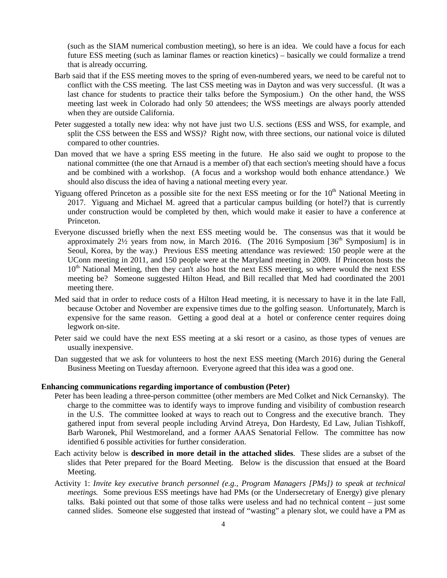(such as the SIAM numerical combustion meeting), so here is an idea. We could have a focus for each future ESS meeting (such as laminar flames or reaction kinetics) – basically we could formalize a trend that is already occurring.

- Barb said that if the ESS meeting moves to the spring of even-numbered years, we need to be careful not to conflict with the CSS meeting. The last CSS meeting was in Dayton and was very successful. (It was a last chance for students to practice their talks before the Symposium.) On the other hand, the WSS meeting last week in Colorado had only 50 attendees; the WSS meetings are always poorly attended when they are outside California.
- Peter suggested a totally new idea: why not have just two U.S. sections (ESS and WSS, for example, and split the CSS between the ESS and WSS)? Right now, with three sections, our national voice is diluted compared to other countries.
- Dan moved that we have a spring ESS meeting in the future. He also said we ought to propose to the national committee (the one that Arnaud is a member of) that each section's meeting should have a focus and be combined with a workshop. (A focus and a workshop would both enhance attendance.) We should also discuss the idea of having a national meeting every year.
- Yiguang offered Princeton as a possible site for the next ESS meeting or for the  $10<sup>th</sup>$  National Meeting in 2017. Yiguang and Michael M. agreed that a particular campus building (or hotel?) that is currently under construction would be completed by then, which would make it easier to have a conference at Princeton.
- Everyone discussed briefly when the next ESS meeting would be. The consensus was that it would be approximately  $2\frac{1}{2}$  years from now, in March 2016. (The 2016 Symposium [36<sup>th</sup> Symposium] is in Seoul, Korea, by the way.) Previous ESS meeting attendance was reviewed: 150 people were at the UConn meeting in 2011, and 150 people were at the Maryland meeting in 2009. If Princeton hosts the 10<sup>th</sup> National Meeting, then they can't also host the next ESS meeting, so where would the next ESS meeting be? Someone suggested Hilton Head, and Bill recalled that Med had coordinated the 2001 meeting there.
- Med said that in order to reduce costs of a Hilton Head meeting, it is necessary to have it in the late Fall, because October and November are expensive times due to the golfing season. Unfortunately, March is expensive for the same reason. Getting a good deal at a hotel or conference center requires doing legwork on-site.
- Peter said we could have the next ESS meeting at a ski resort or a casino, as those types of venues are usually inexpensive.
- Dan suggested that we ask for volunteers to host the next ESS meeting (March 2016) during the General Business Meeting on Tuesday afternoon. Everyone agreed that this idea was a good one.

#### **Enhancing communications regarding importance of combustion (Peter)**

- Peter has been leading a three-person committee (other members are Med Colket and Nick Cernansky). The charge to the committee was to identify ways to improve funding and visibility of combustion research in the U.S. The committee looked at ways to reach out to Congress and the executive branch. They gathered input from several people including Arvind Atreya, Don Hardesty, Ed Law, Julian Tishkoff, Barb Waronek, Phil Westmoreland, and a former AAAS Senatorial Fellow. The committee has now identified 6 possible activities for further consideration.
- Each activity below is **described in more detail in the attached slides**. These slides are a subset of the slides that Peter prepared for the Board Meeting. Below is the discussion that ensued at the Board Meeting.
- Activity 1: *Invite key executive branch personnel (e.g., Program Managers [PMs]) to speak at technical meetings.* Some previous ESS meetings have had PMs (or the Undersecretary of Energy) give plenary talks. Baki pointed out that some of those talks were useless and had no technical content – just some canned slides. Someone else suggested that instead of "wasting" a plenary slot, we could have a PM as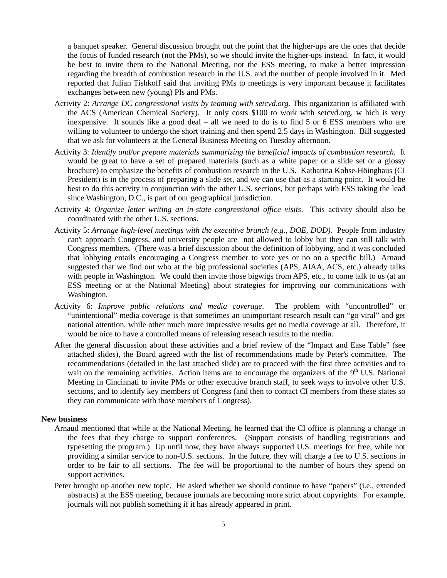a banquet speaker. General discussion brought out the point that the higher-ups are the ones that decide the focus of funded research (not the PMs), so we should invite the higher-ups instead. In fact, it would be best to invite them to the National Meeting, not the ESS meeting, to make a better impression regarding the breadth of combustion research in the U.S. and the number of people involved in it. Med reported that Julian Tishkoff said that inviting PMs to meetings is very important because it facilitates exchanges between new (young) PIs and PMs.

- Activity 2: *Arrange DC congressional visits by teaming with setcvd.org.* This organization is affiliated with the ACS (American Chemical Society). It only costs \$100 to work with setcvd.org, w hich is very inexpensive. It sounds like a good deal – all we need to do is to find 5 or 6 ESS members who are willing to volunteer to undergo the short training and then spend 2.5 days in Washington. Bill suggested that we ask for volunteers at the General Business Meeting on Tuesday afternoon.
- Activity 3: *Identify and/or prepare materials summarizing the beneficial impacts of combustion research.* It would be great to have a set of prepared materials (such as a white paper or a slide set or a glossy brochure) to emphasize the benefits of combustion research in the U.S. Katharina Kohse-Höinghaus (CI President) is in the process of preparing a slide set, and we can use that as a starting point. It would be best to do this activity in conjunction with the other U.S. sections, but perhaps with ESS taking the lead since Washington, D.C., is part of our geographical jurisdiction.
- Activity 4: *Organize letter writing an in-state congressional office visits*. This activity should also be coordinated with the other U.S. sections.
- Activity 5: *Arrange high-level meetings with the executive branch (e.g., DOE, DOD).* People from industry can't approach Congress, and university people are not allowed to lobby but they can still talk with Congress members. (There was a brief discussion about the definition of lobbying, and it was concluded that lobbying entails encouraging a Congress member to vote yes or no on a specific bill.) Arnaud suggested that we find out who at the big professional societies (APS, AIAA, ACS, etc.) already talks with people in Washington. We could then invite those bigwigs from APS, etc., to come talk to us (at an ESS meeting or at the National Meeting) about strategies for improving our communications with Washington.
- Activity 6: *Improve public relations and media coverage*. The problem with "uncontrolled" or "unintentional" media coverage is that sometimes an unimportant research result can "go viral" and get national attention, while other much more impressive results get no media coverage at all. Therefore, it would be nice to have a controlled means of releasing reseach results to the media.
- After the general discussion about these activities and a brief review of the "Impact and Ease Table" (see attached slides), the Board agreed with the list of recommendations made by Peter's committee. The recommendations (detailed in the last attached slide) are to proceed with the first three activities and to wait on the remaining activities. Action items are to encourage the organizers of the 9<sup>th</sup> U.S. National Meeting in Cincinnati to invite PMs or other executive branch staff, to seek ways to involve other U.S. sections, and to identify key members of Congress (and then to contact CI members from these states so they can communicate with those members of Congress).

## **New business**

- Arnaud mentioned that while at the National Meeting, he learned that the CI office is planning a change in the fees that they charge to support conferences. (Support consists of handling registrations and typesetting the program.) Up until now, they have always supported U.S. meetings for free, while not providing a similar service to non-U.S. sections. In the future, they will charge a fee to U.S. sections in order to be fair to all sections. The fee will be proportional to the number of hours they spend on support activities.
- Peter brought up another new topic. He asked whether we should continue to have "papers" (i.e., extended abstracts) at the ESS meeting, because journals are becoming more strict about copyrights. For example, journals will not publish something if it has already appeared in print.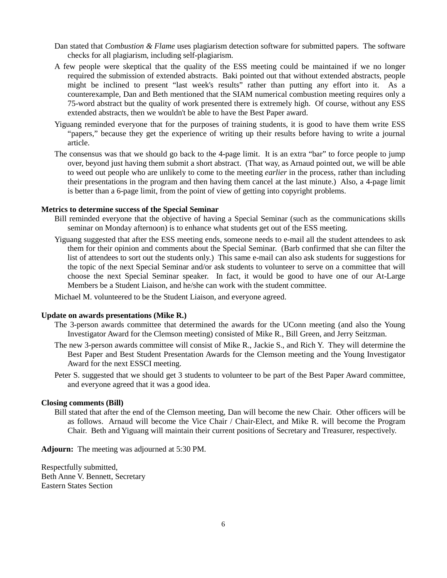- Dan stated that *Combustion & Flame* uses plagiarism detection software for submitted papers. The software checks for all plagiarism, including self-plagiarism.
- A few people were skeptical that the quality of the ESS meeting could be maintained if we no longer required the submission of extended abstracts. Baki pointed out that without extended abstracts, people might be inclined to present "last week's results" rather than putting any effort into it. As a counterexample, Dan and Beth mentioned that the SIAM numerical combustion meeting requires only a 75-word abstract but the quality of work presented there is extremely high. Of course, without any ESS extended abstracts, then we wouldn't be able to have the Best Paper award.
- Yiguang reminded everyone that for the purposes of training students, it is good to have them write ESS "papers," because they get the experience of writing up their results before having to write a journal article.
- The consensus was that we should go back to the 4-page limit. It is an extra "bar" to force people to jump over, beyond just having them submit a short abstract. (That way, as Arnaud pointed out, we will be able to weed out people who are unlikely to come to the meeting *earlier* in the process, rather than including their presentations in the program and then having them cancel at the last minute.) Also, a 4-page limit is better than a 6-page limit, from the point of view of getting into copyright problems.

## **Metrics to determine success of the Special Seminar**

- Bill reminded everyone that the objective of having a Special Seminar (such as the communications skills seminar on Monday afternoon) is to enhance what students get out of the ESS meeting.
- Yiguang suggested that after the ESS meeting ends, someone needs to e-mail all the student attendees to ask them for their opinion and comments about the Special Seminar. (Barb confirmed that she can filter the list of attendees to sort out the students only.) This same e-mail can also ask students for suggestions for the topic of the next Special Seminar and/or ask students to volunteer to serve on a committee that will choose the next Special Seminar speaker. In fact, it would be good to have one of our At-Large Members be a Student Liaison, and he/she can work with the student committee.

Michael M. volunteered to be the Student Liaison, and everyone agreed.

#### **Update on awards presentations (Mike R.)**

- The 3-person awards committee that determined the awards for the UConn meeting (and also the Young Investigator Award for the Clemson meeting) consisted of Mike R., Bill Green, and Jerry Seitzman.
- The new 3-person awards committee will consist of Mike R., Jackie S., and Rich Y. They will determine the Best Paper and Best Student Presentation Awards for the Clemson meeting and the Young Investigator Award for the next ESSCI meeting.
- Peter S. suggested that we should get 3 students to volunteer to be part of the Best Paper Award committee, and everyone agreed that it was a good idea.

#### **Closing comments (Bill)**

Bill stated that after the end of the Clemson meeting, Dan will become the new Chair. Other officers will be as follows. Arnaud will become the Vice Chair / Chair-Elect, and Mike R. will become the Program Chair. Beth and Yiguang will maintain their current positions of Secretary and Treasurer, respectively.

**Adjourn:** The meeting was adjourned at 5:30 PM.

Respectfully submitted, Beth Anne V. Bennett, Secretary Eastern States Section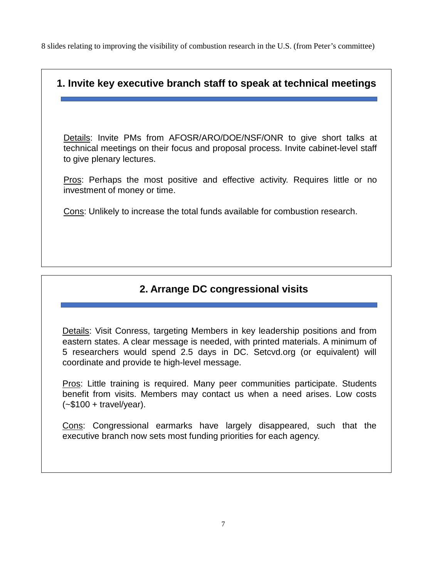8 slides relating to improving the visibility of combustion research in the U.S. (from Peter's committee)

# **1. Invite key executive branch staff to speak at technical meetings** Details: Invite PMs from AFOSR/ARO/DOE/NSF/ONR to give short talks at technical meetings on their focus and proposal process. Invite cabinet-level staff to give plenary lectures. Pros: Perhaps the most positive and effective activity. Requires little or no investment of money or time. Cons: Unlikely to increase the total funds available for combustion research.

# **2. Arrange DC congressional visits**

Details: Visit Conress, targeting Members in key leadership positions and from eastern states. A clear message is needed, with printed materials. A minimum of 5 researchers would spend 2.5 days in DC. Setcvd.org (or equivalent) will coordinate and provide te high-level message.

Pros: Little training is required. Many peer communities participate. Students benefit from visits. Members may contact us when a need arises. Low costs  $(-\$100 + \text{travel/year}).$ 

Cons: Congressional earmarks have largely disappeared, such that the executive branch now sets most funding priorities for each agency.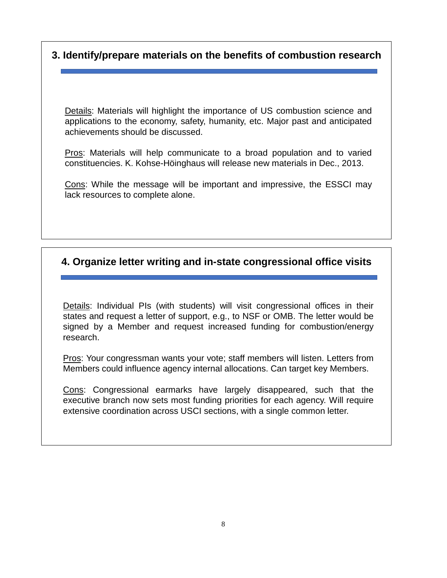## **3. Identify/prepare materials on the benefits of combustion research**

Details: Materials will highlight the importance of US combustion science and applications to the economy, safety, humanity, etc. Major past and anticipated achievements should be discussed.

Pros: Materials will help communicate to a broad population and to varied constituencies. K. Kohse-Höinghaus will release new materials in Dec., 2013.

Cons: While the message will be important and impressive, the ESSCI may lack resources to complete alone.

# **4. Organize letter writing and in-state congressional office visits**

Details: Individual PIs (with students) will visit congressional offices in their states and request a letter of support, e.g., to NSF or OMB. The letter would be signed by a Member and request increased funding for combustion/energy research.

Pros: Your congressman wants your vote; staff members will listen. Letters from Members could influence agency internal allocations. Can target key Members.

Cons: Congressional earmarks have largely disappeared, such that the executive branch now sets most funding priorities for each agency. Will require extensive coordination across USCI sections, with a single common letter.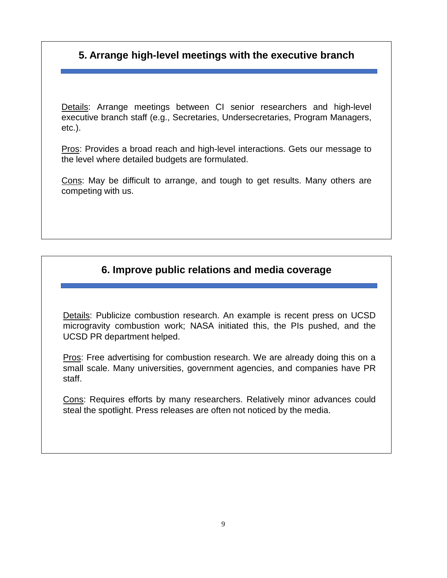# **5. Arrange high-level meetings with the executive branch**

Details: Arrange meetings between CI senior researchers and high-level executive branch staff (e.g., Secretaries, Undersecretaries, Program Managers, etc.).

Pros: Provides a broad reach and high-level interactions. Gets our message to the level where detailed budgets are formulated.

Cons: May be difficult to arrange, and tough to get results. Many others are competing with us.

# **6. Improve public relations and media coverage**

Details: Publicize combustion research. An example is recent press on UCSD microgravity combustion work; NASA initiated this, the PIs pushed, and the UCSD PR department helped.

Pros: Free advertising for combustion research. We are already doing this on a small scale. Many universities, government agencies, and companies have PR staff.

Cons: Requires efforts by many researchers. Relatively minor advances could steal the spotlight. Press releases are often not noticed by the media.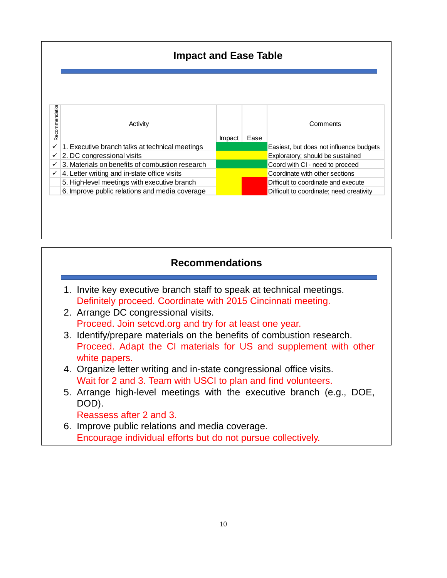| Recommendation | Activity                                        | Impact | Ease | Comments                                 |
|----------------|-------------------------------------------------|--------|------|------------------------------------------|
| ✓              | 1. Executive branch talks at technical meetings |        |      | Easiest, but does not influence budgets  |
| ✓              | 2. DC congressional visits                      |        |      | Exploratory; should be sustained         |
| ✓              | 3. Materials on benefits of combustion research |        |      | Coord with CI - need to proceed          |
| ✓              | 4. Letter writing and in-state office visits    |        |      | Coordinate with other sections           |
|                | 5. High-level meetings with executive branch    |        |      | Difficult to coordinate and execute      |
|                | 6. Improve public relations and media coverage  |        |      | Difficult to coordinate; need creativity |

# **Recommendations**

- 1. Invite key executive branch staff to speak at technical meetings. Definitely proceed. Coordinate with 2015 Cincinnati meeting.
- 2. Arrange DC congressional visits. Proceed. Join setcvd.org and try for at least one year.
- 3. Identify/prepare materials on the benefits of combustion research. Proceed. Adapt the CI materials for US and supplement with other white papers.
- 4. Organize letter writing and in-state congressional office visits. Wait for 2 and 3. Team with USCI to plan and find volunteers.
- 5. Arrange high-level meetings with the executive branch (e.g., DOE, DOD).

Reassess after 2 and 3.

6. Improve public relations and media coverage. Encourage individual efforts but do not pursue collectively.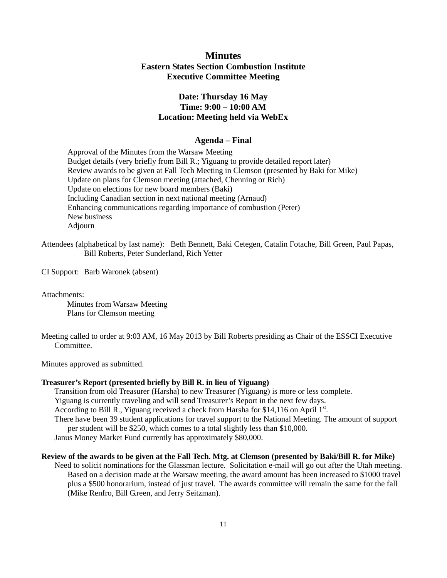## **Minutes Eastern States Section Combustion Institute Executive Committee Meeting**

## **Date: Thursday 16 May Time: 9:00 – 10:00 AM Location: Meeting held via WebEx**

## **Agenda – Final**

Approval of the Minutes from the Warsaw Meeting Budget details (very briefly from Bill R.; Yiguang to provide detailed report later) Review awards to be given at Fall Tech Meeting in Clemson (presented by Baki for Mike) Update on plans for Clemson meeting (attached, Chenning or Rich) Update on elections for new board members (Baki) Including Canadian section in next national meeting (Arnaud) Enhancing communications regarding importance of combustion (Peter) New business Adjourn

Attendees (alphabetical by last name): Beth Bennett, Baki Cetegen, Catalin Fotache, Bill Green, Paul Papas, Bill Roberts, Peter Sunderland, Rich Yetter

CI Support: Barb Waronek (absent)

Attachments:

Minutes from Warsaw Meeting Plans for Clemson meeting

Meeting called to order at 9:03 AM, 16 May 2013 by Bill Roberts presiding as Chair of the ESSCI Executive Committee.

Minutes approved as submitted.

## **Treasurer's Report (presented briefly by Bill R. in lieu of Yiguang)**

Transition from old Treasurer (Harsha) to new Treasurer (Yiguang) is more or less complete.

Yiguang is currently traveling and will send Treasurer's Report in the next few days.

According to Bill R., Yiguang received a check from Harsha for \$14,116 on April  $1^{st}$ .

There have been 39 student applications for travel support to the National Meeting. The amount of support per student will be \$250, which comes to a total slightly less than \$10,000.

Janus Money Market Fund currently has approximately \$80,000.

## **Review of the awards to be given at the Fall Tech. Mtg. at Clemson (presented by Baki/Bill R. for Mike)**

Need to solicit nominations for the Glassman lecture. Solicitation e-mail will go out after the Utah meeting. Based on a decision made at the Warsaw meeting, the award amount has been increased to \$1000 travel plus a \$500 honorarium, instead of just travel. The awards committee will remain the same for the fall (Mike Renfro, Bill G.reen, and Jerry Seitzman).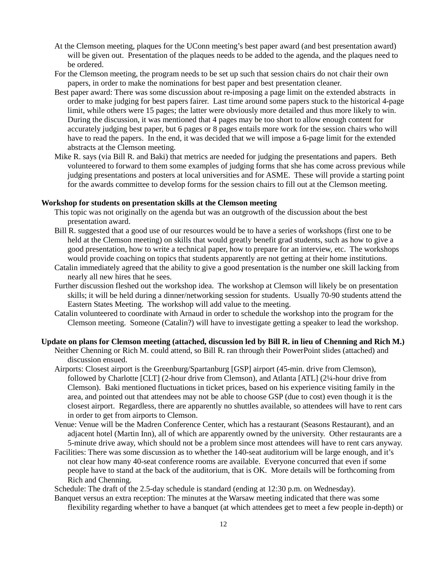- At the Clemson meeting, plaques for the UConn meeting's best paper award (and best presentation award) will be given out. Presentation of the plaques needs to be added to the agenda, and the plaques need to be ordered.
- For the Clemson meeting, the program needs to be set up such that session chairs do not chair their own papers, in order to make the nominations for best paper and best presentation cleaner.
- Best paper award: There was some discussion about re-imposing a page limit on the extended abstracts in order to make judging for best papers fairer. Last time around some papers stuck to the historical 4-page limit, while others were 15 pages; the latter were obviously more detailed and thus more likely to win. During the discussion, it was mentioned that 4 pages may be too short to allow enough content for accurately judging best paper, but 6 pages or 8 pages entails more work for the session chairs who will have to read the papers. In the end, it was decided that we will impose a 6-page limit for the extended abstracts at the Clemson meeting.
- Mike R. says (via Bill R. and Baki) that metrics are needed for judging the presentations and papers. Beth volunteered to forward to them some examples of judging forms that she has come across previous while judging presentations and posters at local universities and for ASME. These will provide a starting point for the awards committee to develop forms for the session chairs to fill out at the Clemson meeting.

## **Workshop for students on presentation skills at the Clemson meeting**

- This topic was not originally on the agenda but was an outgrowth of the discussion about the best presentation award.
- Bill R. suggested that a good use of our resources would be to have a series of workshops (first one to be held at the Clemson meeting) on skills that would greatly benefit grad students, such as how to give a good presentation, how to write a technical paper, how to prepare for an interview, etc. The workshops would provide coaching on topics that students apparently are not getting at their home institutions.
- Catalin immediately agreed that the ability to give a good presentation is the number one skill lacking from nearly all new hires that he sees.
- Further discussion fleshed out the workshop idea. The workshop at Clemson will likely be on presentation skills; it will be held during a dinner/networking session for students. Usually 70-90 students attend the Eastern States Meeting. The workshop will add value to the meeting.
- Catalin volunteered to coordinate with Arnaud in order to schedule the workshop into the program for the Clemson meeting. Someone (Catalin?) will have to investigate getting a speaker to lead the workshop.

## **Update on plans for Clemson meeting (attached, discussion led by Bill R. in lieu of Chenning and Rich M.)**

- Neither Chenning or Rich M. could attend, so Bill R. ran through their PowerPoint slides (attached) and discussion ensued.
- Airports: Closest airport is the Greenburg/Spartanburg [GSP] airport (45-min. drive from Clemson), followed by Charlotte [CLT] (2-hour drive from Clemson), and Atlanta [ATL] (2¼-hour drive from Clemson). Baki mentioned fluctuations in ticket prices, based on his experience visiting family in the area, and pointed out that attendees may not be able to choose GSP (due to cost) even though it is the closest airport. Regardless, there are apparently no shuttles available, so attendees will have to rent cars in order to get from airports to Clemson.
- Venue: Venue will be the Madren Conference Center, which has a restaurant (Seasons Restaurant), and an adjacent hotel (Martin Inn), all of which are apparently owned by the university. Other restaurants are a 5-minute drive away, which should not be a problem since most attendees will have to rent cars anyway.
- Facilities: There was some discussion as to whether the 140-seat auditorium will be large enough, and it's not clear how many 40-seat conference rooms are available. Everyone concurred that even if some people have to stand at the back of the auditorium, that is OK. More details will be forthcoming from Rich and Chenning.

Schedule: The draft of the 2.5-day schedule is standard (ending at 12:30 p.m. on Wednesday).

Banquet versus an extra reception: The minutes at the Warsaw meeting indicated that there was some flexibility regarding whether to have a banquet (at which attendees get to meet a few people in-depth) or